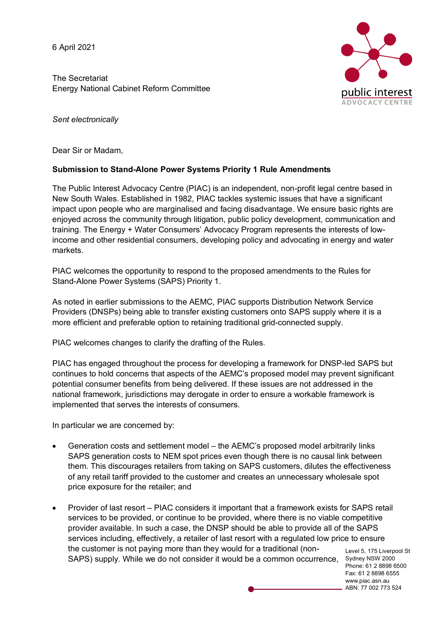6 April 2021

The Secretariat Energy National Cabinet Reform Committee



*Sent electronically*

Dear Sir or Madam,

### **Submission to Stand-Alone Power Systems Priority 1 Rule Amendments**

The Public Interest Advocacy Centre (PIAC) is an independent, non-profit legal centre based in New South Wales. Established in 1982, PIAC tackles systemic issues that have a significant impact upon people who are marginalised and facing disadvantage. We ensure basic rights are enjoyed across the community through litigation, public policy development, communication and training. The Energy + Water Consumers' Advocacy Program represents the interests of lowincome and other residential consumers, developing policy and advocating in energy and water markets.

PIAC welcomes the opportunity to respond to the proposed amendments to the Rules for Stand-Alone Power Systems (SAPS) Priority 1.

As noted in earlier submissions to the AEMC, PIAC supports Distribution Network Service Providers (DNSPs) being able to transfer existing customers onto SAPS supply where it is a more efficient and preferable option to retaining traditional grid-connected supply.

PIAC welcomes changes to clarify the drafting of the Rules.

PIAC has engaged throughout the process for developing a framework for DNSP-led SAPS but continues to hold concerns that aspects of the AEMC's proposed model may prevent significant potential consumer benefits from being delivered. If these issues are not addressed in the national framework, jurisdictions may derogate in order to ensure a workable framework is implemented that serves the interests of consumers.

In particular we are concerned by:

- Generation costs and settlement model the AEMC's proposed model arbitrarily links SAPS generation costs to NEM spot prices even though there is no causal link between them. This discourages retailers from taking on SAPS customers, dilutes the effectiveness of any retail tariff provided to the customer and creates an unnecessary wholesale spot price exposure for the retailer; and
- Level 5, 175 Liverpool St SAPS) supply. While we do not consider it would be a common occurrence, Sydney NSW 2000 • Provider of last resort – PIAC considers it important that a framework exists for SAPS retail services to be provided, or continue to be provided, where there is no viable competitive provider available. In such a case, the DNSP should be able to provide all of the SAPS services including, effectively, a retailer of last resort with a regulated low price to ensure the customer is not paying more than they would for a traditional (non-

Phone: 61 2 8898 6500 Fax: 61 2 8898 6555 www.piac.asn.au ABN: 77 002 773 524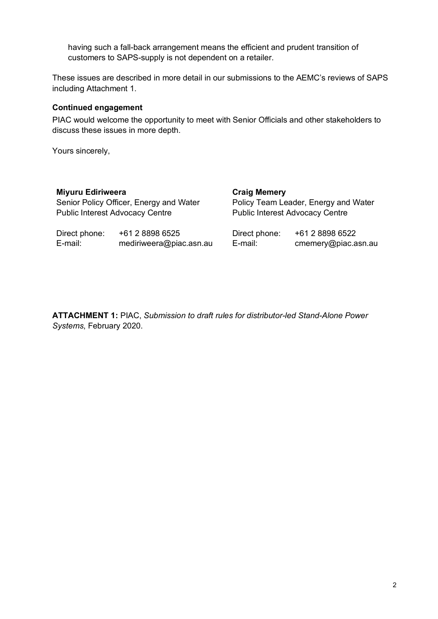having such a fall-back arrangement means the efficient and prudent transition of customers to SAPS-supply is not dependent on a retailer.

These issues are described in more detail in our submissions to the AEMC's reviews of SAPS including Attachment 1.

#### **Continued engagement**

PIAC would welcome the opportunity to meet with Senior Officials and other stakeholders to discuss these issues in more depth.

Yours sincerely,

| <b>Miyuru Ediriweera</b>                |                         | <b>Craig Memery</b>                    |                     |
|-----------------------------------------|-------------------------|----------------------------------------|---------------------|
| Senior Policy Officer, Energy and Water |                         | Policy Team Leader, Energy and Water   |                     |
| <b>Public Interest Advocacy Centre</b>  |                         | <b>Public Interest Advocacy Centre</b> |                     |
| Direct phone:                           | +61 2 8898 6525         | Direct phone:                          | +61 2 8898 6522     |
| E-mail:                                 | mediriweera@piac.asn.au | E-mail:                                | cmemery@piac.asn.au |

**ATTACHMENT 1:** PIAC, *Submission to draft rules for distributor-led Stand-Alone Power Systems*, February 2020.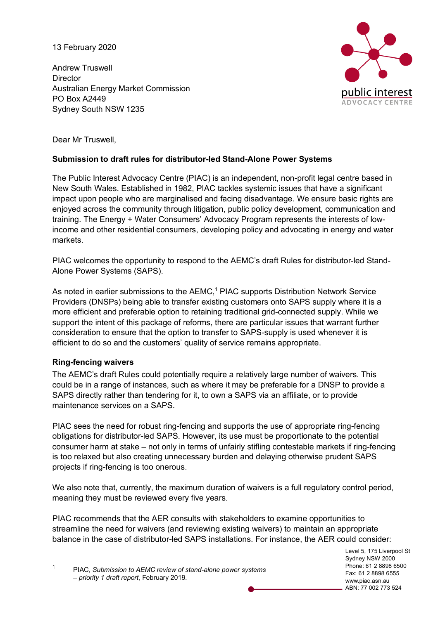13 February 2020

Andrew Truswell **Director** Australian Energy Market Commission PO Box A2449 Sydney South NSW 1235



Dear Mr Truswell,

# **Submission to draft rules for distributor-led Stand-Alone Power Systems**

The Public Interest Advocacy Centre (PIAC) is an independent, non-profit legal centre based in New South Wales. Established in 1982, PIAC tackles systemic issues that have a significant impact upon people who are marginalised and facing disadvantage. We ensure basic rights are enjoyed across the community through litigation, public policy development, communication and training. The Energy + Water Consumers' Advocacy Program represents the interests of lowincome and other residential consumers, developing policy and advocating in energy and water markets.

PIAC welcomes the opportunity to respond to the AEMC's draft Rules for distributor-led Stand-Alone Power Systems (SAPS).

As noted in earlier submissions to the AEMC,<sup>1</sup> PIAC supports Distribution Network Service Providers (DNSPs) being able to transfer existing customers onto SAPS supply where it is a more efficient and preferable option to retaining traditional grid-connected supply. While we support the intent of this package of reforms, there are particular issues that warrant further consideration to ensure that the option to transfer to SAPS-supply is used whenever it is efficient to do so and the customers' quality of service remains appropriate.

### **Ring-fencing waivers**

The AEMC's draft Rules could potentially require a relatively large number of waivers. This could be in a range of instances, such as where it may be preferable for a DNSP to provide a SAPS directly rather than tendering for it, to own a SAPS via an affiliate, or to provide maintenance services on a SAPS.

PIAC sees the need for robust ring-fencing and supports the use of appropriate ring-fencing obligations for distributor-led SAPS. However, its use must be proportionate to the potential consumer harm at stake – not only in terms of unfairly stifling contestable markets if ring-fencing is too relaxed but also creating unnecessary burden and delaying otherwise prudent SAPS projects if ring-fencing is too onerous.

We also note that, currently, the maximum duration of waivers is a full regulatory control period, meaning they must be reviewed every five years.

PIAC recommends that the AER consults with stakeholders to examine opportunities to streamline the need for waivers (and reviewing existing waivers) to maintain an appropriate balance in the case of distributor-led SAPS installations. For instance, the AER could consider:

 1 PIAC, *Submission to AEMC review of stand-alone power systems – priority 1 draft report*, February 2019.

Level 5, 175 Liverpool St Sydney NSW 2000 Phone: 61 2 8898 6500 Fax: 61 2 8898 6555 www.piac.asn.au ABN: 77 002 773 524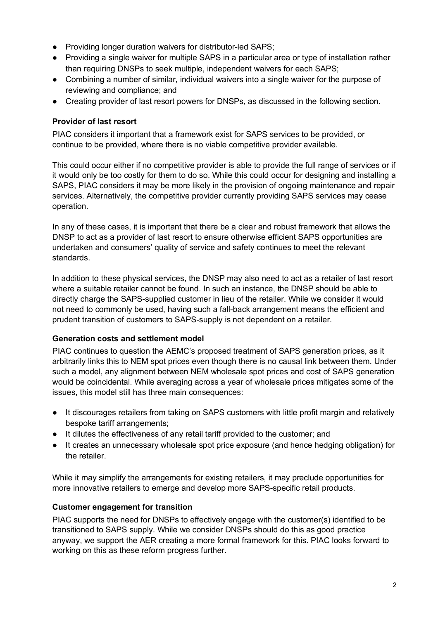- Providing longer duration waivers for distributor-led SAPS;
- Providing a single waiver for multiple SAPS in a particular area or type of installation rather than requiring DNSPs to seek multiple, independent waivers for each SAPS;
- Combining a number of similar, individual waivers into a single waiver for the purpose of reviewing and compliance; and
- Creating provider of last resort powers for DNSPs, as discussed in the following section.

## **Provider of last resort**

PIAC considers it important that a framework exist for SAPS services to be provided, or continue to be provided, where there is no viable competitive provider available.

This could occur either if no competitive provider is able to provide the full range of services or if it would only be too costly for them to do so. While this could occur for designing and installing a SAPS, PIAC considers it may be more likely in the provision of ongoing maintenance and repair services. Alternatively, the competitive provider currently providing SAPS services may cease operation.

In any of these cases, it is important that there be a clear and robust framework that allows the DNSP to act as a provider of last resort to ensure otherwise efficient SAPS opportunities are undertaken and consumers' quality of service and safety continues to meet the relevant standards.

In addition to these physical services, the DNSP may also need to act as a retailer of last resort where a suitable retailer cannot be found. In such an instance, the DNSP should be able to directly charge the SAPS-supplied customer in lieu of the retailer. While we consider it would not need to commonly be used, having such a fall-back arrangement means the efficient and prudent transition of customers to SAPS-supply is not dependent on a retailer.

### **Generation costs and settlement model**

PIAC continues to question the AEMC's proposed treatment of SAPS generation prices, as it arbitrarily links this to NEM spot prices even though there is no causal link between them. Under such a model, any alignment between NEM wholesale spot prices and cost of SAPS generation would be coincidental. While averaging across a year of wholesale prices mitigates some of the issues, this model still has three main consequences:

- It discourages retailers from taking on SAPS customers with little profit margin and relatively bespoke tariff arrangements;
- It dilutes the effectiveness of any retail tariff provided to the customer; and
- It creates an unnecessary wholesale spot price exposure (and hence hedging obligation) for the retailer.

While it may simplify the arrangements for existing retailers, it may preclude opportunities for more innovative retailers to emerge and develop more SAPS-specific retail products.

### **Customer engagement for transition**

PIAC supports the need for DNSPs to effectively engage with the customer(s) identified to be transitioned to SAPS supply. While we consider DNSPs should do this as good practice anyway, we support the AER creating a more formal framework for this. PIAC looks forward to working on this as these reform progress further.